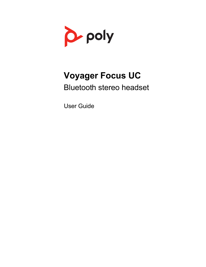

# **Voyager Focus UC**

Bluetooth stereo headset

User Guide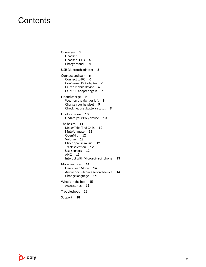### **Contents**

[Overview](#page-2-0) **3** [Headset](#page-2-0) **3** [Headset LEDs](#page-3-0) **4** [Charge stand\\*](#page-3-0) **4** [USB Bluetooth adapter](#page-4-0) **5** [Connect and pair](#page-5-0) **6** [Connect to PC](#page-5-0) **6** [Configure USB adapter](#page-5-0) **6** [Pair to mobile device](#page-5-0) **6** [Pair USB adapter again](#page-6-0) **7** [Fit and charge](#page-8-0) **9** [Wear on the right or left](#page-8-0) 9 [Charge your headset](#page-8-0) **9** [Check headset battery status](#page-8-0) **9** [Load software](#page-9-0) **10** [Update your Poly device](#page-9-0) **10** [The basics](#page-10-0) **11** [Make/Take/End Calls](#page-11-0) **12** [Mute/unmute](#page-11-0) **12** [OpenMic](#page-11-0) **12** [Volume](#page-11-0) **12** [Play or pause music](#page-11-0) **12** [Track selection](#page-11-0) **12** [Use sensors](#page-11-0) **12** [ANC](#page-12-0) **13** [Interact with Microsoft softphone](#page-12-0) **13** [More Features](#page-13-0) **14** [DeepSleep Mode](#page-13-0) **14** [Answer calls from a second device](#page-13-0) **14** [Change language](#page-13-0) **14** [What's in the box](#page-14-0) **15** [Accessories](#page-14-0) **15** [Troubleshoot](#page-15-0) **16** [Support](#page-17-0) **18**

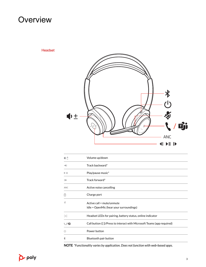### <span id="page-2-0"></span>**Overview**

Headset



| 中土                           | Volume up/down                                                         |  |
|------------------------------|------------------------------------------------------------------------|--|
| $\blacktriangleleft$         | Track backward*                                                        |  |
| $>$ 11                       | Play/pause music*                                                      |  |
| $\mathbf{L}$                 | Track forward*                                                         |  |
| ANC                          | Active noise cancelling                                                |  |
| ø                            | Charge port                                                            |  |
| 馬                            | Active call = mute/unmute                                              |  |
|                              | Idle = OpenMic (hear your surroundings)                                |  |
| $\frac{1}{2}$                | Headset LEDs for pairing, battery status, online indicator             |  |
| $\setminus$ ( $\mathbb{G}$ ) | Call button ([])/Press to interact with Microsoft Teams (app required) |  |
| Φ                            | Power button                                                           |  |
| $\ast$                       | Bluetooth pair button                                                  |  |

**NOTE** *\*Functionality varies by application. Does not function with web-based apps.*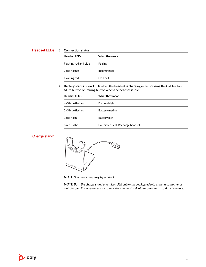#### <span id="page-3-0"></span>**1 Connection status** Headset LEDs

| <b>Headset LEDs</b>   | What they mean |
|-----------------------|----------------|
| Flashing red and blue | Pairing        |
| 3 red flashes         | Incoming call  |
| Flashing red          | On a call      |

### **2 Battery status:** View LEDs when the headset is charging or by pressing the Call button, Mute button or Pairing button when the headset is idle.

| <b>Headset LEDs</b> | What they mean                     |
|---------------------|------------------------------------|
| 4-5 blue flashes    | Battery high                       |
| 2-3 blue flashes    | Battery medium                     |
| 1 red flash         | <b>Battery low</b>                 |
| 3 red flashes       | Battery critical; Recharge headset |

### Charge stand\*



**NOTE** *\*Contents may vary by product.*

**NOTE** *Both the charge stand and micro USB cable can be plugged into either a computer or wall charger. It is only necessary to plug the charge stand into a computer to update firmware.*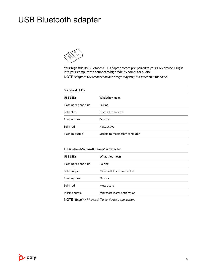## <span id="page-4-0"></span>USB Bluetooth adapter



Your high-fidelity Bluetooth USB adapter comes pre-paired to your Poly device. Plug it into your computer to connect to high-fidelity computer audio.

**NOTE** *Adapter's USB connection and design may vary, but function is the same.*

#### **Standard LEDs**

| USB LEDs              | What they mean                |
|-----------------------|-------------------------------|
| Flashing red and blue | Pairing                       |
| Solid blue            | Headset connected             |
| Flashing blue         | On a call                     |
| Solid red             | Mute active                   |
| Flashing purple       | Streaming media from computer |

| LEDs when Microsoft Teams* is detected |                              |  |
|----------------------------------------|------------------------------|--|
| <b>USB LEDs</b>                        | What they mean               |  |
| Flashing red and blue                  | Pairing                      |  |
| Solid purple                           | Microsoft Teams connected    |  |
| Flashing blue                          | On a call                    |  |
| Solid red                              | Mute active                  |  |
| Pulsing purple                         | Microsoft Teams notification |  |

**NOTE** *\*Requires Microsoft Teams desktop application.*

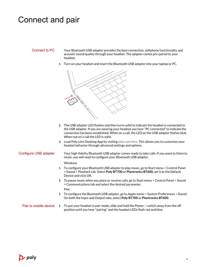### <span id="page-5-0"></span>Connect and pair

### Connect to PC

Your Bluetooth USB adapter provides the best connection, softphone functionality and acoustic sound quality through your headset. The adapter comes pre-paired to your headset.

**1** Turn on your headset and insert the Bluetooth USB adapter into your laptop or PC.



- **2** The USB adapter LED flashes and then turns solid to indicate the headset is connected to the USB adapter. If you are wearing your headset you hear "PC connected" to indicate the connection has been established. When on a call, the LED on the USB adapter flashes blue. When not on a call the LED is solid.
- **3** Load Poly Lens Desktop App by visiting [poly.com/lens](http://www.poly.com/lens). This allows you to customize your headset behavior through advanced settings and options.

#### Configure USB adapter

Your high-fidelity Bluetooth USB adapter comes ready to take calls. If you want to listen to music, you will need to configure your Bluetooth USB adapter.

#### **Windows**

- **1** To configure your Bluetooth USB adapter to play music, go to Start menu > Control Panel > Sound > Playback tab. Select **Poly BT700** or **Plantronics BT600,** set it as the Default Device and click OK.
- **2** To pause music when you place or receive calls, go to Start menu > Control Panel > Sound > Communications tab and select the desired parameter. Mac
- **1** To configure the Bluetooth USB adapter, go to Apple menu > System Preferences > Sound. On both the Input and Output tabs, select **Poly BT700** or **Plantronics BT600**.
- **1** To put your headset in pair mode, slide and hold the Power  $\cup$  switch away from the off position until you hear "pairing" and the headset LEDs flash red and blue. Pair to mobile device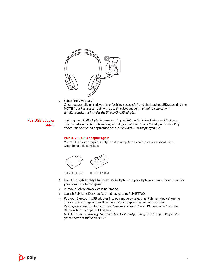<span id="page-6-0"></span>

**2** Select "Poly VFocus." Once successfully paired, you hear "pairing successful" and the headset LEDs stop flashing. **NOTE** *Your headset can pair with up to 8 devices but only maintain 2 connections simultaneously; this includes the Bluetooth USB adapter.*

Pair USB adapter again *Typically, your USB adapter is pre-paired to your Poly audio device. In the event that your adapter is disconnected or bought separately, you will need to pair the adapter to your Poly device. The adapter pairing method depends on which USB adapter you use.*

#### **Pair BT700 USB adapter again**

Your USB adapter requires Poly Lens Desktop App to pair to a Poly audio device. Download: [poly.com/lens.](http://www.poly.com/lens)





- **1** Insert the high-fidelity Bluetooth USB adapter into your laptop or computer and wait for your computer to recognize it.
- **2** Put your Poly audio device in pair mode.
- **3** Launch Poly Lens Desktop App and navigate to Poly BT700.
- **4** Put your Bluetooth USB adapter into pair mode by selecting "Pair new device" on the adapter's main page or overflow menu. Your adapter flashes red and blue. Pairing is successful when you hear "pairing successful" and "PC connected" and the Bluetooth USB adapter LED is solid.

**NOTE** *To pair again using Plantronics Hub Desktop App, navigate to the app's Poly BT700 general settings and select "Pair."*

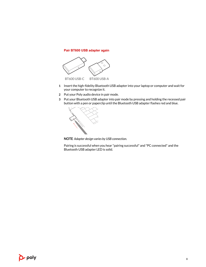### **Pair BT600 USB adapter again**



- **1** Insert the high-fidelity Bluetooth USB adapter into your laptop or computer and wait for your computer to recognize it.
- **2** Put your Poly audio device in pair mode.
- **3** Put your Bluetooth USB adapter into pair mode by pressing and holding the recessed pair button with a pen or paperclip until the Bluetooth USB adapter flashes red and blue.



**NOTE** *Adapter design varies by USB connection.*

Pairing is successful when you hear "pairing successful" and "PC connected" and the Bluetooth USB adapter LED is solid.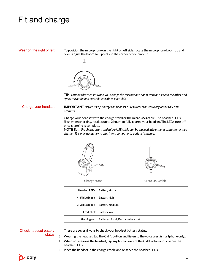### <span id="page-8-0"></span>Fit and charge

Wear on the right or left

To position the microphone on the right or left side, rotate the microphone boom up and over. Adjust the boom so it points to the corner of your mouth.



**TIP** *Your headset senses when you change the microphone boom from one side to the other and syncs the audio and controls specific to each side.*

**IMPORTANT** *Before using, charge the headset fully to reset the accuracy of the talk time prompts.* Charge your headset

> Charge your headset with the charge stand or the micro USB cable. The headset LEDs flash when charging. It takes up to 2 hours to fully charge your headset. The LEDs turn off once charging is complete.

**NOTE** *Both the charge stand and micro USB cable can be plugged into either a computer or wall charger. It is only necessary to plug into a computer to update firmware.*





Charge stand Micro USB cable

|                              | Headset LEDs Battery status                     |
|------------------------------|-------------------------------------------------|
| 4-5 blue blinks Battery high |                                                 |
|                              | 2-3 blue blinks Battery medium                  |
|                              | 1 red blink Battery low                         |
|                              | flashing red Battery critical; Recharge headset |

#### Check headset battery status

There are several ways to check your headset battery status.

- **1** Wearing the headset, tap the Call *I* button and listen to the voice alert (smartphone only).
- **2** When not wearing the headset, tap any button except the Call button and observe the headset LEDs.
- **3** Place the headset in the charge cradle and observe the headset LEDs.

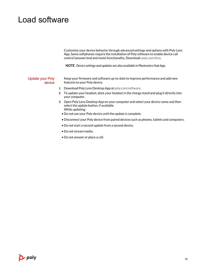### <span id="page-9-0"></span>Load software

Customize your device behavior through advanced settings and options with Poly Lens App. Some softphones require the installation of Poly software to enable device call control (answer/end and mute) functionality. Download: [poly.com/lens.](http://www.poly.com/lens)

**NOTE** *Device settings and updates are also available in Plantronics Hub App.*

Update your Poly device Keep your firmware and software up-to-date to improve performance and add new features to your Poly device.

- **1** Download Poly Lens Desktop App at [poly.com/software.](https://www.poly.com/software)
- **2** To update your headset, dock your headset in the charge stand and plug it directly into your computer.
- **3** Open Poly Lens Desktop App on your computer and select your device name and then select the update button, if available. While updating:
	- Do not use your Poly device until the update is complete.
	- Disconnect your Poly device from paired devices such as phones, tablets and computers.
	- Do not start a second update from a second device.
	- Do not stream media.
	- Do not answer or place a call.

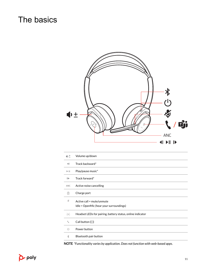### <span id="page-10-0"></span>The basics



| №±                   | Volume up/down                                                       |
|----------------------|----------------------------------------------------------------------|
| $\blacktriangleleft$ | Track backward*                                                      |
| $\triangleright$ II  | Play/pause music*                                                    |
| ⊪                    | Track forward*                                                       |
| ANC                  | Active noise cancelling                                              |
| 团                    | Charge port                                                          |
| 省                    | Active call = mute/unmute<br>Idle = OpenMic (hear your surroundings) |
| $\div \circ \div$    | Headset LEDs for pairing, battery status, online indicator           |
| X                    | Call button ([])                                                     |
| U                    | Power button                                                         |
| ∦                    | Bluetooth pair button                                                |

**NOTE** *\*Functionality varies by application. Does not function with web-based apps.*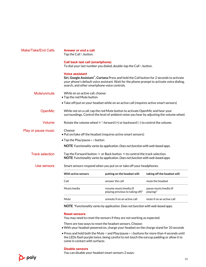<span id="page-11-0"></span>

| <b>Make/Take/End Calls</b> | Answer or end a call<br>Tap the Call \ button.                                                                                                                                     |                                                                                                                                                                                                      |                                    |
|----------------------------|------------------------------------------------------------------------------------------------------------------------------------------------------------------------------------|------------------------------------------------------------------------------------------------------------------------------------------------------------------------------------------------------|------------------------------------|
|                            | <b>Call back last call (smartphone)</b><br>To dial your last number you dialed, double-tap the Call \ button.                                                                      |                                                                                                                                                                                                      |                                    |
|                            | <b>Voice assistant</b><br>search, and other smartphone voice controls.                                                                                                             | Siri, Google Assistant <sup>"</sup> , Cortana Press and hold the Call button for 2 seconds to activate<br>your phone's default voice assistant. Wait for the phone prompt to activate voice dialing, |                                    |
| Mute/unmute                | While on an active call, choose:<br>• Tap the red Mute button                                                                                                                      |                                                                                                                                                                                                      |                                    |
|                            | • Take off/put on your headset while on an active call (requires active smart sensors)                                                                                             |                                                                                                                                                                                                      |                                    |
| <b>OpenMic</b>             | While not on a call, tap the red Mute button to activate OpenMic and hear your<br>surroundings. Control the level of ambient noise you hear by adjusting the volume wheel.         |                                                                                                                                                                                                      |                                    |
| Volume                     | Rotate the volume wheel $\psi^{\pm}$ forward (+) or backward (-) to control the volume.                                                                                            |                                                                                                                                                                                                      |                                    |
| Play or pause music        | Choose:<br>. Put on/take off the headset (requires active smart sensors)                                                                                                           |                                                                                                                                                                                                      |                                    |
|                            | • Tap the Play/pause II button                                                                                                                                                     |                                                                                                                                                                                                      |                                    |
|                            |                                                                                                                                                                                    | <b>NOTE</b> Functionality varies by application. Does not function with web-based apps.                                                                                                              |                                    |
| <b>Track selection</b>     | Tap the Forward button I▶ or Back button <i control="" selection.<br="" the="" to="" track="">NOTE Functionality varies by application. Does not function with web-based apps.</i> |                                                                                                                                                                                                      |                                    |
| Use sensors                |                                                                                                                                                                                    | Smart sensors respond when you put on or take off your headphones.                                                                                                                                   |                                    |
|                            | With active sensors                                                                                                                                                                | putting on the headset will:                                                                                                                                                                         | taking off the headset will:       |
|                            | Call                                                                                                                                                                               | answer the call                                                                                                                                                                                      | mute the headset                   |
|                            | Music/media                                                                                                                                                                        | resume music/media (if<br>playing previous to taking off)*                                                                                                                                           | pause music/media (if<br>playing)* |
|                            | Mute                                                                                                                                                                               | unmute if on an active call                                                                                                                                                                          | mute if on an active call          |
|                            |                                                                                                                                                                                    | NOTE *Functionality varies by application. Does not function with web-based apps.                                                                                                                    |                                    |

#### **Reset sensors**

You may need to reset the sensors if they are not working as expected.

There are two ways to reset the headset sensors. Choose:

- With your headset powered on, charge your headset on the charge stand for 10 seconds
- Press and hold both the Mute  $\text{\textdegree}$  and Play/pause  $\blacktriangleright$  II buttons for more than 4 seconds until the LEDs flash purple twice, being careful to not touch the earcup padding or allow it to come in contact with surfaces

#### **Disable sensors**

You can disable your headset smart sensors 2 ways:

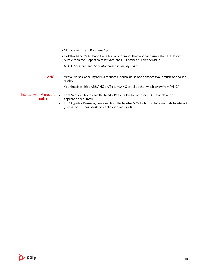<span id="page-12-0"></span>

• Hold both the Mute  $\ell$  and Call \ buttons for more than 4 seconds until the LED flashes purple then red. Repeat to reactivate; the LED flashes purple then blue

**NOTE** *Sensors cannot be disabled while streaming audio.*

Active Noise Canceling (ANC) reduces external noise and enhances your music and sound quality. ANC

Your headset ships with ANC on. To turn ANC off, slide the switch away from "ANC."

- For Microsoft Teams, tap the headset's Call \ button to interact (Teams desktop application required). Interact with Microsoft softphone
	- For Skype for Business, press and hold the headset's Call \ button for 2 seconds to interact (Skype for Business desktop application required).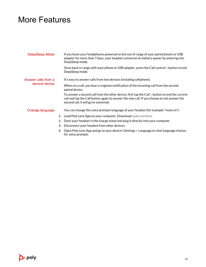### <span id="page-13-0"></span>More Features

| DeepSleep Mode      | If you leave your headphones powered on but out of range of your paired phone or USB<br>adapter for more than 7 days, your headset conserves its battery power by entering into<br>DeepSleep mode.                                             |
|---------------------|------------------------------------------------------------------------------------------------------------------------------------------------------------------------------------------------------------------------------------------------|
|                     | Once back in range with your phone or USB adapter, press the Call control \ button to exit<br>DeepSleep mode.                                                                                                                                  |
| Answer calls from a | It's easy to answer calls from two devices (including softphone).                                                                                                                                                                              |
| second device       | When on a call, you hear a ringtone notification of the incoming call from the second<br>paired device.                                                                                                                                        |
|                     | To answer a second call from the other device, first tap the Call $\mathbb k$ button to end the current<br>call and tap the Call button again to answer the new call. If you choose to not answer the<br>second call, it will go to voicemail. |
| Change language     | You can change the voice prompts language of your headset (for example "mute on").                                                                                                                                                             |
|                     | Load Poly Lens App on your computer. Download: poly.com/lens.<br>1                                                                                                                                                                             |
|                     | Dock your headset in the charge stand and plug it directly into your computer.<br>$\overline{2}$                                                                                                                                               |
|                     | Disconnect your headset from other devices.<br>3                                                                                                                                                                                               |

**4** Open Poly Lens App and go to your device's Settings > Language to view language choices for voice prompts.

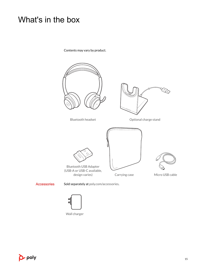### <span id="page-14-0"></span>What's in the box

Contents may vary by product.





Wall charger

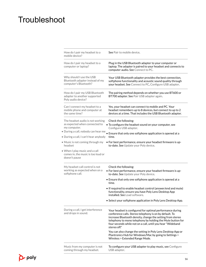## <span id="page-15-0"></span>**Troubleshoot**

| How do I pair my headset to a<br>mobile device?                                                                          | See Pair to mobile device.                                                                                                                                                                                                                                                                                                     |
|--------------------------------------------------------------------------------------------------------------------------|--------------------------------------------------------------------------------------------------------------------------------------------------------------------------------------------------------------------------------------------------------------------------------------------------------------------------------|
| How do I pair my headset to a<br>computer or laptop?                                                                     | Plug in the USB Bluetooth adapter to your computer or<br>laptop. The adapter is paired to your headset and connects to<br>computer audio. See Connect to PC.                                                                                                                                                                   |
| Why should I use the USB<br>Bluetooth adapter instead of my<br>computer's Bluetooth?                                     | Your USB Bluetooth adapter provides the best connection,<br>softphone functionality and acoustic sound quality through<br>your headset. See Connect to PC, Configure USB adapter.                                                                                                                                              |
| How do I pair my USB Bluetooth<br>adapter to another supported<br>Poly audio device?                                     | The pairing method depends on whether you use BT600 or<br>BT700 adapter. See Pair USB adapter again.                                                                                                                                                                                                                           |
| Can I connect my headset to a<br>mobile phone and computer at<br>the same time?                                          | Yes, your headset can connect to mobile and PC. Your<br>headset remembers up to 8 devices, but connect to up to 2<br>devices at a time. That includes the USB Bluetooth adapter.                                                                                                                                               |
| The headset audio is not working<br>as expected when connected to<br>my computer.<br>· During a call, nobody can hear me | Check the following:<br>. To configure the headset sound on your computer, see<br>Configure USB adapter.                                                                                                                                                                                                                       |
| . During a call, I can't hear anybody                                                                                    | • Ensure that only one softphone application is opened at a<br>time.                                                                                                                                                                                                                                                           |
| • Music is not coming through my<br>headset                                                                              | • For best performance, ensure your headset firmware is up-<br>to-date. See Update your Poly device.                                                                                                                                                                                                                           |
| • When I play music and a call<br>comes in, the music is too loud or<br>doesn't pause                                    |                                                                                                                                                                                                                                                                                                                                |
| My headset call control is not<br>working as expected when on a<br>softphone call.                                       | Check the following:<br>• For best performance, ensure your headset firmware is up-<br>to-date. See Update your Poly device.                                                                                                                                                                                                   |
|                                                                                                                          | • Ensure that only one softphone application is opened at a<br>time.                                                                                                                                                                                                                                                           |
|                                                                                                                          | • If required to enable headset control (answer/end and mute)<br>functionality, ensure you have Poly Lens Desktop App<br>installed. See Load software.                                                                                                                                                                         |
|                                                                                                                          | • Select your softphone application in Poly Lens Desktop App.                                                                                                                                                                                                                                                                  |
| During a call, I get interference<br>and drops in sound.                                                                 | Your headset is configured for optimal performance during<br>conference calls. Stereo telephony is on by default. To<br>increase Bluetooth density, change the setting from stereo<br>telephony to mono telephony by holding the Mute button for<br>four seconds while not on a call, until you hear "Wideband<br>stereo off." |
|                                                                                                                          | You can also change the setting in Poly Lens Desktop App or<br>Plantronics Hub for Windows/Mac by going to Settings ><br>Wireless > Extended Range Mode.                                                                                                                                                                       |
| Music from my computer is not<br>coming through my headset.                                                              | To configure your USB adapter to play music, see Configure<br>USB adapter.                                                                                                                                                                                                                                                     |

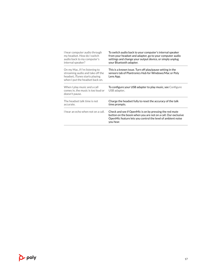| I hear computer audio through<br>my headset. How do I switch<br>audio back to my computer's<br>internal speaker?                        | To switch audio back to your computer's internal speaker<br>from your headset and adapter, go to your computer audio<br>settings and change your output device, or simply unplug<br>your Bluetooth adapter. |
|-----------------------------------------------------------------------------------------------------------------------------------------|-------------------------------------------------------------------------------------------------------------------------------------------------------------------------------------------------------------|
| On my Mac, if I'm listening to<br>streaming audio and take off the<br>headset, iTunes starts playing<br>when I put the headset back on. | This is a known issue. Turn off play/pause setting in the<br>sensors tab of Plantronics Hub for Windows/Mac or Poly<br>Lens App.                                                                            |
| When I play music and a call<br>comes in, the music is too loud or<br>doesn't pause.                                                    | To configure your USB adapter to play music, see Configure<br>USB adapter.                                                                                                                                  |
| The headset talk time is not<br>accurate.                                                                                               | Charge the headset fully to reset the accuracy of the talk<br>time prompts.                                                                                                                                 |
| I hear an echo when not on a call.                                                                                                      | Check and see if OpenMic is on by pressing the red mute<br>button on the boom when you are not on a call. Our exclusive<br>OpenMic feature lets you control the level of ambient noise<br>you hear.         |